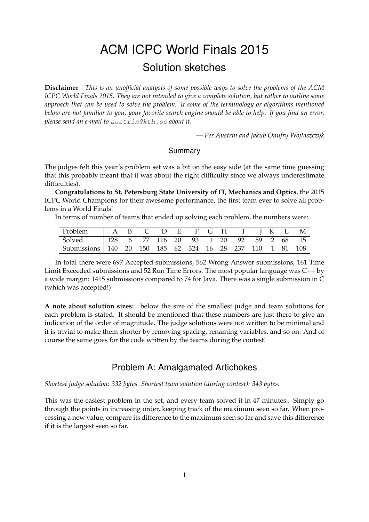# ACM ICPC World Finals 2015 Solution sketches

**Disclaimer** *This is an unofficial analysis of some possible ways to solve the problems of the ACM ICPC World Finals 2015. They are not intended to give a complete solution, but rather to outline some approach that can be used to solve the problem. If some of the terminology or algorithms mentioned below are not familiar to you, your favorite search engine should be able to help. If you find an error, please send an e-mail to* austrin@kth.se *about it.*

*— Per Austrin and Jakub Onufry Wojtaszczyk*

#### Summary

The judges felt this year's problem set was a bit on the easy side (at the same time guessing that this probably meant that it was about the right difficulty since we always underestimate difficulties).

**Congratulations to St. Petersburg State University of IT, Mechanics and Optics**, the 2015 ICPC World Champions for their awesome performance, the first team ever to solve all problems in a World Finals!

In terms of number of teams that ended up solving each problem, the numbers were:

| Problem                                                  |  |  | A B C D E F G H I J K L M |  |  |  |  |
|----------------------------------------------------------|--|--|---------------------------|--|--|--|--|
| Solved   128 6 77 116 20 93 1 20 92 59 2 68 15           |  |  |                           |  |  |  |  |
| Submissions 140 20 150 185 62 324 16 28 237 110 1 81 108 |  |  |                           |  |  |  |  |

In total there were 697 Accepted submissions, 562 Wrong Answer submissions, 161 Time Limit Exceeded submissions and 52 Run Time Errors. The most popular language was C++ by a wide margin: 1415 submissions compared to 74 for Java. There was a single submission in C (which was accepted!)

**A note about solution sizes:** below the size of the smallest judge and team solutions for each problem is stated. It should be mentioned that these numbers are just there to give an indication of the order of magnitude. The judge solutions were not written to be minimal and it is trivial to make them shorter by removing spacing, renaming variables, and so on. And of course the same goes for the code written by the teams during the contest!

# Problem A: Amalgamated Artichokes

*Shortest judge solution: 332 bytes. Shortest team solution (during contest): 343 bytes.*

This was the easiest problem in the set, and every team solved it in 47 minutes.. Simply go through the points in increasing order, keeping track of the maximum seen so far. When processing a new value, compare its difference to the maximum seen so far and save this difference if it is the largest seen so far.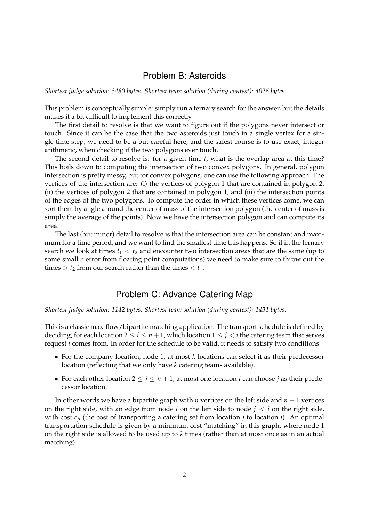## Problem B: Asteroids

*Shortest judge solution: 3480 bytes. Shortest team solution (during contest): 4026 bytes.*

This problem is conceptually simple: simply run a ternary search for the answer, but the details makes it a bit difficult to implement this correctly.

The first detail to resolve is that we want to figure out if the polygons never intersect or touch. Since it can be the case that the two asteroids just touch in a single vertex for a single time step, we need to be a but careful here, and the safest course is to use exact, integer arithmetic, when checking if the two polygons ever touch.

The second detail to resolve is: for a given time *t*, what is the overlap area at this time? This boils down to computing the intersection of two convex polygons. In general, polygon intersection is pretty messy, but for convex polygons, one can use the following approach. The vertices of the intersection are: (i) the vertices of polygon 1 that are contained in polygon 2, (ii) the vertices of polygon 2 that are contained in polygon 1, and (iii) the intersection points of the edges of the two polygons. To compute the order in which these vertices come, we can sort them by angle around the center of mass of the intersection polygon (the center of mass is simply the average of the points). Now we have the intersection polygon and can compute its area.

The last (but minor) detail to resolve is that the intersection area can be constant and maximum for a time period, and we want to find the smallest time this happens. So if in the ternary search we look at times  $t_1 < t_2$  and encounter two intersection areas that are the same (up to some small  $\epsilon$  error from floating point computations) we need to make sure to throw out the times  $> t_2$  from our search rather than the times  $< t_1$ .

#### Problem C: Advance Catering Map

*Shortest judge solution: 1142 bytes. Shortest team solution (during contest): 1431 bytes.*

This is a classic max-flow/bipartite matching application. The transport schedule is defined by deciding, for each location  $2 \le i \le n+1$ , which location  $1 \le j < i$  the catering team that serves request *i* comes from. In order for the schedule to be valid, it needs to satisfy two conditions:

- For the company location, node 1, at most *k* locations can select it as their predecessor location (reflecting that we only have *k* catering teams available).
- For each other location  $2 \le j \le n+1$ , at most one location *i* can choose *j* as their predecessor location.

In other words we have a bipartite graph with  $n$  vertices on the left side and  $n + 1$  vertices on the right side, with an edge from node  $i$  on the left side to node  $j < i$  on the right side, with cost  $c_{ij}$  (the cost of transporting a catering set from location *j* to location *i*). An optimal transportation schedule is given by a minimum cost "matching" in this graph, where node 1 on the right side is allowed to be used up to *k* times (rather than at most once as in an actual matching).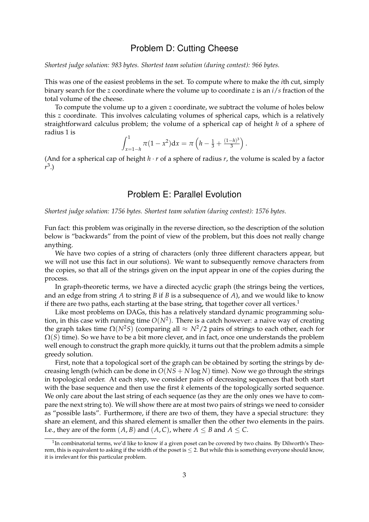## Problem D: Cutting Cheese

*Shortest judge solution: 983 bytes. Shortest team solution (during contest): 966 bytes.*

This was one of the easiest problems in the set. To compute where to make the *i*th cut, simply binary search for the *z* coordinate where the volume up to coordinate *z* is an *i*/*s* fraction of the total volume of the cheese.

To compute the volume up to a given *z* coordinate, we subtract the volume of holes below this *z* coordinate. This involves calculating volumes of spherical caps, which is a relatively straightforward calculus problem; the volume of a spherical cap of height *h* of a sphere of radius 1 is

$$
\int_{x=1-h}^{1} \pi (1-x^2) \mathrm{d}x = \pi \left( h - \frac{1}{3} + \frac{(1-h)^3}{3} \right).
$$

(And for a spherical cap of height  $h \cdot r$  of a sphere of radius  $r$ , the volume is scaled by a factor *r* 3 .)

# Problem E: Parallel Evolution

*Shortest judge solution: 1756 bytes. Shortest team solution (during contest): 1576 bytes.*

Fun fact: this problem was originally in the reverse direction, so the description of the solution below is "backwards" from the point of view of the problem, but this does not really change anything.

We have two copies of a string of characters (only three different characters appear, but we will not use this fact in our solutions). We want to subsequently remove characters from the copies, so that all of the strings given on the input appear in one of the copies during the process.

In graph-theoretic terms, we have a directed acyclic graph (the strings being the vertices, and an edge from string *A* to string *B* if *B* is a subsequence of *A*), and we would like to know if there are two paths, each starting at the base string, that together cover all vertices.<sup>1</sup>

Like most problems on DAGs, this has a relatively standard dynamic programming solution, in this case with running time  $O(N^2)$ . There is a catch however: a naive way of creating the graph takes time  $\Omega(N^2S)$  (comparing all  $\approx N^2/2$  pairs of strings to each other, each for  $\Omega(S)$  time). So we have to be a bit more clever, and in fact, once one understands the problem well enough to construct the graph more quickly, it turns out that the problem admits a simple greedy solution.

First, note that a topological sort of the graph can be obtained by sorting the strings by decreasing length (which can be done in  $O(NS + N \log N)$  time). Now we go through the strings in topological order. At each step, we consider pairs of decreasing sequences that both start with the base sequence and then use the first *k* elements of the topologically sorted sequence. We only care about the last string of each sequence (as they are the only ones we have to compare the next string to). We will show there are at most two pairs of strings we need to consider as "possible lasts". Furthermore, if there are two of them, they have a special structure: they share an element, and this shared element is smaller then the other two elements in the pairs. I.e., they are of the form  $(A, B)$  and  $(A, C)$ , where  $A \leq B$  and  $A \leq C$ .

 $1$ In combinatorial terms, we'd like to know if a given poset can be covered by two chains. By Dilworth's Theorem, this is equivalent to asking if the width of the poset is  $\leq 2$ . But while this is something everyone should know, it is irrelevant for this particular problem.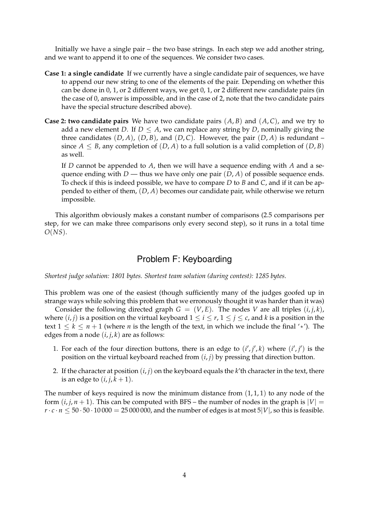Initially we have a single pair – the two base strings. In each step we add another string, and we want to append it to one of the sequences. We consider two cases.

- **Case 1: a single candidate** If we currently have a single candidate pair of sequences, we have to append our new string to one of the elements of the pair. Depending on whether this can be done in 0, 1, or 2 different ways, we get 0, 1, or 2 different new candidate pairs (in the case of 0, answer is impossible, and in the case of 2, note that the two candidate pairs have the special structure described above).
- **Case 2: two candidate pairs** We have two candidate pairs (*A*, *B*) and (*A*, *C*), and we try to add a new element *D*. If  $D \leq A$ , we can replace any string by *D*, nominally giving the three candidates  $(D, A)$ ,  $(D, B)$ , and  $(D, C)$ . However, the pair  $(D, A)$  is redundant – since  $A \leq B$ , any completion of  $(D, A)$  to a full solution is a valid completion of  $(D, B)$ as well.

If *D* cannot be appended to *A*, then we will have a sequence ending with *A* and a sequence ending with *D* — thus we have only one pair  $(D, A)$  of possible sequence ends. To check if this is indeed possible, we have to compare *D* to *B* and *C*, and if it can be appended to either of them, (*D*, *A*) becomes our candidate pair, while otherwise we return impossible.

This algorithm obviously makes a constant number of comparisons (2.5 comparisons per step, for we can make three comparisons only every second step), so it runs in a total time *O*(*NS*).

# Problem F: Keyboarding

*Shortest judge solution: 1801 bytes. Shortest team solution (during contest): 1285 bytes.*

This problem was one of the easiest (though sufficiently many of the judges goofed up in strange ways while solving this problem that we erronously thought it was harder than it was)

Consider the following directed graph  $G = (V, E)$ . The nodes *V* are all triples  $(i, j, k)$ , where  $(i, j)$  is a position on the virtual keyboard  $1 \le i \le r$ ,  $1 \le j \le c$ , and k is a position in the text  $1 \leq k \leq n+1$  (where *n* is the length of the text, in which we include the final '\*'). The edges from a node  $(i, j, k)$  are as follows:

- 1. For each of the four direction buttons, there is an edge to  $(i', j', k)$  where  $(i', j')$  is the position on the virtual keyboard reached from (*i*, *j*) by pressing that direction button.
- 2. If the character at position  $(i, j)$  on the keyboard equals the  $k$ 'th character in the text, there is an edge to  $(i, j, k + 1)$ .

The number of keys required is now the minimum distance from  $(1, 1, 1)$  to any node of the form  $(i, j, n + 1)$ . This can be computed with BFS – the number of nodes in the graph is  $|V|$  =  $r \cdot c \cdot n \leq 50 \cdot 50 \cdot 10000 = 25000000$ , and the number of edges is at most  $5|V|$ , so this is feasible.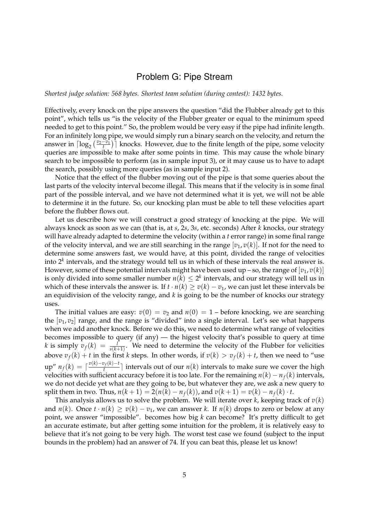# Problem G: Pipe Stream

*Shortest judge solution: 568 bytes. Shortest team solution (during contest): 1432 bytes.*

Effectively, every knock on the pipe answers the question "did the Flubber already get to this point", which tells us "is the velocity of the Flubber greater or equal to the minimum speed needed to get to this point." So, the problem would be very easy if the pipe had infinite length. For an infinitely long pipe, we would simply run a binary search on the velocity, and return the answer in  $\lceil \log_2(\frac{v_2-v_1}{t}) \rceil$  knocks. However, due to the finite length of the pipe, some velocity queries are impossible to make after some points in time. This may cause the whole binary search to be impossible to perform (as in sample input 3), or it may cause us to have to adapt the search, possibly using more queries (as in sample input 2).

Notice that the effect of the flubber moving out of the pipe is that some queries about the last parts of the velocity interval become illegal. This means that if the velocity is in some final part of the possible interval, and we have not determined what it is yet, we will not be able to determine it in the future. So, our knocking plan must be able to tell these velocities apart before the flubber flows out.

Let us describe how we will construct a good strategy of knocking at the pipe. We will always knock as soon as we can (that is, at *s*, 2*s*, 3*s*, etc. seconds) After *k* knocks, our strategy will have already adapted to determine the velocity (within a *t* error range) in some final range of the velocity interval, and we are still searching in the range  $[v_1, v(k)]$ . If not for the need to determine some answers fast, we would have, at this point, divided the range of velocities into  $2<sup>k</sup>$  intervals, and the strategy would tell us in which of these intervals the real answer is. However, some of these potential intervals might have been used up – so, the range of  $[v_1, v(k)]$ is only divided into some smaller number  $n(k) \leq 2^k$  intervals, and our strategy will tell us in which of these intervals the answer is. If  $t \cdot n(k) \ge v(k) - v_1$ , we can just let these intervals be an equidivision of the velocity range, and *k* is going to be the number of knocks our strategy uses.

The initial values are easy:  $v(0) = v_2$  and  $n(0) = 1$  – before knocking, we are searching the [*v*1, *v*2] range, and the range is "divided" into a single interval. Let's see what happens when we add another knock. Before we do this, we need to determine what range of velocities becomes impossible to query (if any) — the higest velocity that's possible to query at time *k* is simply  $v_f(k) = \frac{l}{s(k+1)}$ . We need to determine the velocity of the Flubber for velicities above  $v_f(k) + t$  in the first *k* steps. In other words, if  $v(k) > v_f(k) + t$ , then we need to "use  $\sup$ " *n*<sub>*f*</sub>(*k*) =  $\int \frac{v(k)-v_f(k)-t}{t}$  $\frac{df(x)-f(x)-f(x)}{f}$  intervals out of our  $n(k)$  intervals to make sure we cover the high velocities with sufficient accuracy before it is too late. For the remaining  $n(k) - n_f(k)$  intervals, we do not decide yet what are they going to be, but whatever they are, we ask a new query to split them in two. Thus,  $n(k + 1) = 2(n(k) - n_f(k))$ , and  $v(k + 1) = v(k) - n_f(k) \cdot t$ .

This analysis allows us to solve the problem. We will iterate over  $k$ , keeping track of  $v(k)$ and  $n(k)$ . Once  $t \cdot n(k) \ge v(k) - v_1$ , we can answer k. If  $n(k)$  drops to zero or below at any point, we answer "impossible". becomes how big *k* can become? It's pretty difficult to get an accurate estimate, but after getting some intuition for the problem, it is relatively easy to believe that it's not going to be very high. The worst test case we found (subject to the input bounds in the problem) had an answer of 74. If you can beat this, please let us know!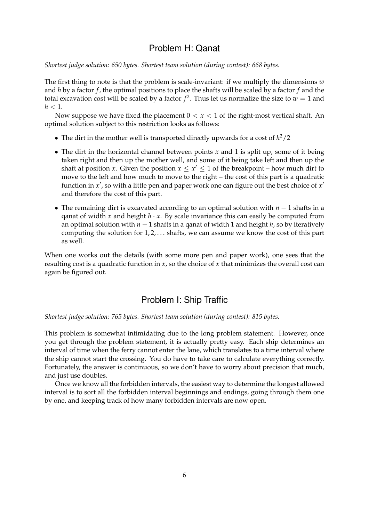# Problem H: Qanat

*Shortest judge solution: 650 bytes. Shortest team solution (during contest): 668 bytes.*

The first thing to note is that the problem is scale-invariant: if we multiply the dimensions *w* and *h* by a factor *f* , the optimal positions to place the shafts will be scaled by a factor *f* and the total excavation cost will be scaled by a factor  $f^2$ . Thus let us normalize the size to  $w=1$  and  $h < 1$ .

Now suppose we have fixed the placement  $0 < x < 1$  of the right-most vertical shaft. An optimal solution subject to this restriction looks as follows:

- The dirt in the mother well is transported directly upwards for a cost of *h* <sup>2</sup>/2
- The dirt in the horizontal channel between points *x* and 1 is split up, some of it being taken right and then up the mother well, and some of it being take left and then up the shaft at position *x*. Given the position  $x \leq x' \leq 1$  of the breakpoint – how much dirt to move to the left and how much to move to the right – the cost of this part is a quadratic function in x', so with a little pen and paper work one can figure out the best choice of x' and therefore the cost of this part.
- The remaining dirt is excavated according to an optimal solution with *n* − 1 shafts in a qanat of width *x* and height  $h \cdot x$ . By scale invariance this can easily be computed from an optimal solution with *n* − 1 shafts in a qanat of width 1 and height *h*, so by iteratively computing the solution for  $1, 2, \ldots$  shafts, we can assume we know the cost of this part as well.

When one works out the details (with some more pen and paper work), one sees that the resulting cost is a quadratic function in *x*, so the choice of *x* that minimizes the overall cost can again be figured out.

# Problem I: Ship Traffic

*Shortest judge solution: 765 bytes. Shortest team solution (during contest): 815 bytes.*

This problem is somewhat intimidating due to the long problem statement. However, once you get through the problem statement, it is actually pretty easy. Each ship determines an interval of time when the ferry cannot enter the lane, which translates to a time interval where the ship cannot start the crossing. You do have to take care to calculate everything correctly. Fortunately, the answer is continuous, so we don't have to worry about precision that much, and just use doubles.

Once we know all the forbidden intervals, the easiest way to determine the longest allowed interval is to sort all the forbidden interval beginnings and endings, going through them one by one, and keeping track of how many forbidden intervals are now open.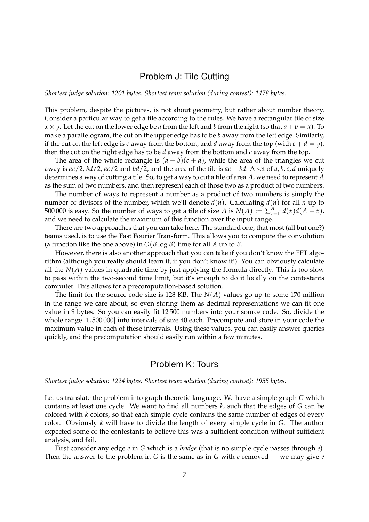## Problem J: Tile Cutting

*Shortest judge solution: 1201 bytes. Shortest team solution (during contest): 1478 bytes.*

This problem, despite the pictures, is not about geometry, but rather about number theory. Consider a particular way to get a tile according to the rules. We have a rectangular tile of size  $x \times y$ . Let the cut on the lower edge be *a* from the left and *b* from the right (so that  $a + b = x$ ). To make a parallelogram, the cut on the upper edge has to be *b* away from the left edge. Similarly, if the cut on the left edge is *c* away from the bottom, and *d* away from the top (with  $c + d = y$ ), then the cut on the right edge has to be *d* away from the bottom and *c* away from the top.

The area of the whole rectangle is  $(a + b)(c + d)$ , while the area of the triangles we cut away is  $ac/2$ ,  $bd/2$ ,  $ac/2$  and  $bd/2$ , and the area of the tile is  $ac + bd$ . A set of  $a, b, c, d$  uniquely determines a way of cutting a tile. So, to get a way to cut a tile of area *A*, we need to represent *A* as the sum of two numbers, and then represent each of those two as a product of two numbers.

The number of ways to represent a number as a product of two numbers is simply the number of divisors of the number, which we'll denote  $d(n)$ . Calculating  $d(n)$  for all *n* up to 500 000 is easy. So the number of ways to get a tile of size *A* is  $N(A) := \sum_{x=1}^{A-1} d(x) d(A-x)$ , and we need to calculate the maximum of this function over the input range.

There are two approaches that you can take here. The standard one, that most (all but one?) teams used, is to use the Fast Fourier Transform. This allows you to compute the convolution (a function like the one above) in *O*(*B* log *B*) time for all *A* up to *B*.

However, there is also another approach that you can take if you don't know the FFT algorithm (although you really should learn it, if you don't know it!). You can obviously calculate all the  $N(A)$  values in quadratic time by just applying the formula directly. This is too slow to pass within the two-second time limit, but it's enough to do it locally on the contestants computer. This allows for a precomputation-based solution.

The limit for the source code size is 128 KB. The *N*(*A*) values go up to some 170 million in the range we care about, so even storing them as decimal representations we can fit one value in 9 bytes. So you can easily fit 12 500 numbers into your source code. So, divide the whole range [1, 500 000] into intervals of size 40 each. Precompute and store in your code the maximum value in each of these intervals. Using these values, you can easily answer queries quickly, and the precomputation should easily run within a few minutes.

# Problem K: Tours

*Shortest judge solution: 1224 bytes. Shortest team solution (during contest): 1955 bytes.*

Let us translate the problem into graph theoretic language. We have a simple graph *G* which contains at least one cycle. We want to find all numbers *k*, such that the edges of *G* can be colored with *k* colors, so that each simple cycle contains the same number of edges of every color. Obviously *k* will have to divide the length of every simple cycle in *G*. The author expected some of the contestants to believe this was a sufficient condition without sufficient analysis, and fail.

First consider any edge *e* in *G* which is a *bridge* (that is no simple cycle passes through *e*). Then the answer to the problem in *G* is the same as in *G* with *e* removed — we may give *e*